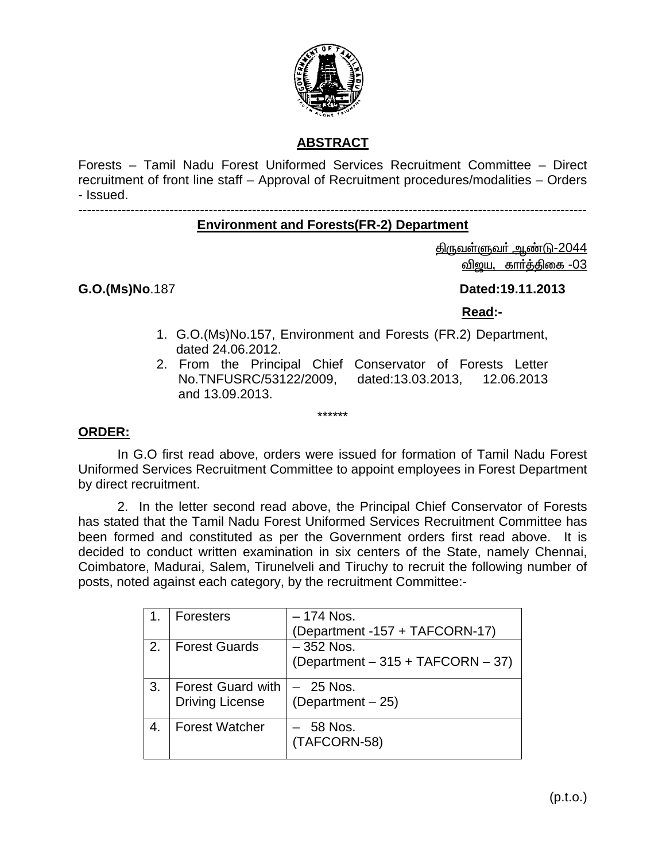

## **ABSTRACT**

Forests – Tamil Nadu Forest Uniformed Services Recruitment Committee – Direct recruitment of front line staff – Approval of Recruitment procedures/modalities – Orders - Issued.

---------------------------------------------------------------------------------------------------------------------

## **Environment and Forests(FR-2) Department**

<u>திருவள்ளுவர் ஆண்டு-2044</u> விஜய, கார்த்திகை -03

**G.O.(Ms)No**.187 **Dated:19.11.2013** 

 **Read:-** 

- 1. G.O.(Ms)No.157, Environment and Forests (FR.2) Department, dated 24.06.2012.
- 2. From the Principal Chief Conservator of Forests Letter No.TNFUSRC/53122/2009, dated:13.03.2013, 12.06.2013 and 13.09.2013.

#### **ORDER:**

In G.O first read above, orders were issued for formation of Tamil Nadu Forest Uniformed Services Recruitment Committee to appoint employees in Forest Department by direct recruitment.

\*\*\*\*\*\*

2. In the letter second read above, the Principal Chief Conservator of Forests has stated that the Tamil Nadu Forest Uniformed Services Recruitment Committee has been formed and constituted as per the Government orders first read above. It is decided to conduct written examination in six centers of the State, namely Chennai, Coimbatore, Madurai, Salem, Tirunelveli and Tiruchy to recruit the following number of posts, noted against each category, by the recruitment Committee:-

|    | <b>Foresters</b>         | – 174 Nos.                        |
|----|--------------------------|-----------------------------------|
|    |                          | (Department -157 + TAFCORN-17)    |
| 2. | <b>Forest Guards</b>     | $-352$ Nos.                       |
|    |                          | (Department - 315 + TAFCORN - 37) |
| 3. | <b>Forest Guard with</b> | $-25$ Nos.                        |
|    | <b>Driving License</b>   | $(Department - 25)$               |
| 4. | <b>Forest Watcher</b>    | $-58$ Nos.                        |
|    |                          | (TAFCORN-58)                      |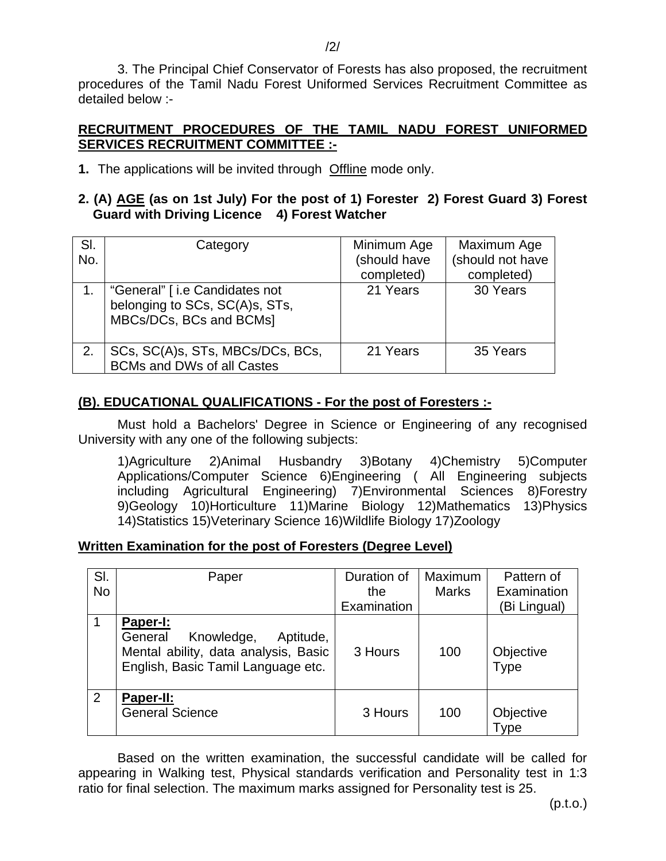3. The Principal Chief Conservator of Forests has also proposed, the recruitment procedures of the Tamil Nadu Forest Uniformed Services Recruitment Committee as detailed below :-

## **RECRUITMENT PROCEDURES OF THE TAMIL NADU FOREST UNIFORMED SERVICES RECRUITMENT COMMITTEE :-**

**1.** The applications will be invited through Offline mode only.

#### **2. (A) AGE (as on 1st July) For the post of 1) Forester 2) Forest Guard 3) Forest Guard with Driving Licence 4) Forest Watcher**

| SI.<br>No. | Category                                                                                   | Minimum Age<br>(should have<br>completed) | Maximum Age<br>(should not have<br>completed) |
|------------|--------------------------------------------------------------------------------------------|-------------------------------------------|-----------------------------------------------|
|            | "General" [i.e Candidates not<br>belonging to SCs, SC(A)s, STs,<br>MBCs/DCs, BCs and BCMs] | 21 Years                                  | 30 Years                                      |
| 2.         | SCs, SC(A)s, STs, MBCs/DCs, BCs,<br><b>BCMs and DWs of all Castes</b>                      | 21 Years                                  | 35 Years                                      |

## **(B). EDUCATIONAL QUALIFICATIONS - For the post of Foresters :-**

Must hold a Bachelors' Degree in Science or Engineering of any recognised University with any one of the following subjects:

1)Agriculture 2)Animal Husbandry 3)Botany 4)Chemistry 5)Computer Applications/Computer Science 6)Engineering ( All Engineering subjects including Agricultural Engineering) 7)Environmental Sciences 8)Forestry 9)Geology 10)Horticulture 11)Marine Biology 12)Mathematics 13)Physics 14)Statistics 15)Veterinary Science 16)Wildlife Biology 17)Zoology

## **Written Examination for the post of Foresters (Degree Level)**

| SI.       | Paper                                                                                                            | Duration of | Maximum      | Pattern of        |
|-----------|------------------------------------------------------------------------------------------------------------------|-------------|--------------|-------------------|
| <b>No</b> |                                                                                                                  | the         | <b>Marks</b> | Examination       |
|           |                                                                                                                  | Examination |              | (Bi Lingual)      |
| 1         | Paper-I:                                                                                                         |             |              |                   |
|           | General<br>Knowledge,<br>Aptitude,<br>Mental ability, data analysis, Basic<br>English, Basic Tamil Language etc. | 3 Hours     | 100          | Objective<br>Type |
| 2         | Paper-II:<br><b>General Science</b>                                                                              | 3 Hours     | 100          | Objective<br>Type |

Based on the written examination, the successful candidate will be called for appearing in Walking test, Physical standards verification and Personality test in 1:3 ratio for final selection. The maximum marks assigned for Personality test is 25.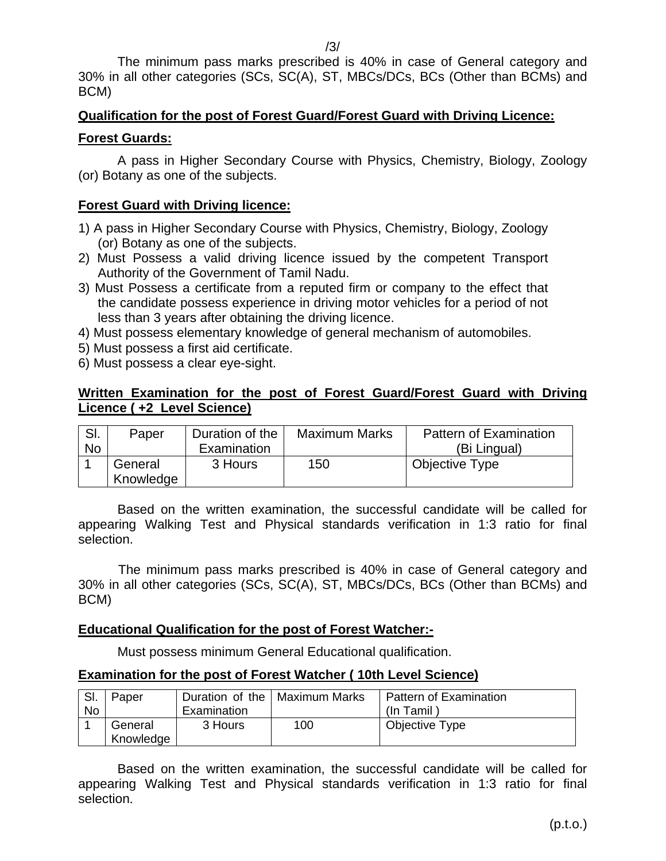The minimum pass marks prescribed is 40% in case of General category and 30% in all other categories (SCs, SC(A), ST, MBCs/DCs, BCs (Other than BCMs) and BCM)

# **Qualification for the post of Forest Guard/Forest Guard with Driving Licence:**

## **Forest Guards:**

A pass in Higher Secondary Course with Physics, Chemistry, Biology, Zoology (or) Botany as one of the subjects.

## **Forest Guard with Driving licence:**

- 1) A pass in Higher Secondary Course with Physics, Chemistry, Biology, Zoology (or) Botany as one of the subjects.
- 2) Must Possess a valid driving licence issued by the competent Transport Authority of the Government of Tamil Nadu.
- 3) Must Possess a certificate from a reputed firm or company to the effect that the candidate possess experience in driving motor vehicles for a period of not less than 3 years after obtaining the driving licence.
- 4) Must possess elementary knowledge of general mechanism of automobiles.
- 5) Must possess a first aid certificate.
- 6) Must possess a clear eye-sight.

## **Written Examination for the post of Forest Guard/Forest Guard with Driving Licence ( +2 Level Science)**

| SI. | Paper     | Duration of the | <b>Maximum Marks</b> | Pattern of Examination |
|-----|-----------|-----------------|----------------------|------------------------|
| No  |           | Examination     |                      | (Bi Lingual)           |
|     | General   | 3 Hours         | 150                  | <b>Objective Type</b>  |
|     | Knowledge |                 |                      |                        |

Based on the written examination, the successful candidate will be called for appearing Walking Test and Physical standards verification in 1:3 ratio for final selection.

 The minimum pass marks prescribed is 40% in case of General category and 30% in all other categories (SCs, SC(A), ST, MBCs/DCs, BCs (Other than BCMs) and BCM)

#### **Educational Qualification for the post of Forest Watcher:-**

Must possess minimum General Educational qualification.

## **Examination for the post of Forest Watcher ( 10th Level Science)**

| SI.<br>No | Paper                | Examination | Duration of the   Maximum Marks | <b>Pattern of Examination</b><br>(In Tamil) |
|-----------|----------------------|-------------|---------------------------------|---------------------------------------------|
|           | General<br>Knowledge | 3 Hours     | 100                             | Objective Type                              |

Based on the written examination, the successful candidate will be called for appearing Walking Test and Physical standards verification in 1:3 ratio for final selection.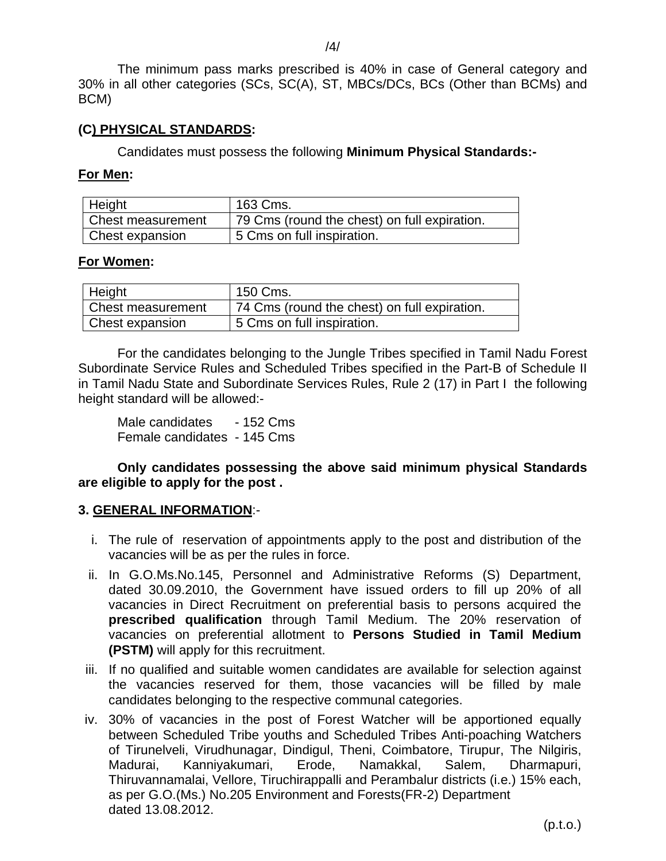The minimum pass marks prescribed is 40% in case of General category and 30% in all other categories (SCs, SC(A), ST, MBCs/DCs, BCs (Other than BCMs) and BCM)

#### **(C) PHYSICAL STANDARDS:**

Candidates must possess the following **Minimum Physical Standards:-** 

#### **For Men:**

| Height            | 163 Cms.                                     |
|-------------------|----------------------------------------------|
| Chest measurement | 79 Cms (round the chest) on full expiration. |
| Chest expansion   | 5 Cms on full inspiration.                   |

#### **For Women:**

| Height            | 150 Cms.                                     |
|-------------------|----------------------------------------------|
| Chest measurement | 74 Cms (round the chest) on full expiration. |
| Chest expansion   | <b>5 Cms on full inspiration.</b>            |

For the candidates belonging to the Jungle Tribes specified in Tamil Nadu Forest Subordinate Service Rules and Scheduled Tribes specified in the Part-B of Schedule II in Tamil Nadu State and Subordinate Services Rules, Rule 2 (17) in Part I the following height standard will be allowed:-

Male candidates - 152 Cms Female candidates - 145 Cms

**Only candidates possessing the above said minimum physical Standards are eligible to apply for the post .** 

#### **3. GENERAL INFORMATION**:-

- i. The rule of reservation of appointments apply to the post and distribution of the vacancies will be as per the rules in force.
- ii. In G.O.Ms.No.145, Personnel and Administrative Reforms (S) Department, dated 30.09.2010, the Government have issued orders to fill up 20% of all vacancies in Direct Recruitment on preferential basis to persons acquired the **prescribed qualification** through Tamil Medium. The 20% reservation of vacancies on preferential allotment to **Persons Studied in Tamil Medium (PSTM)** will apply for this recruitment.
- iii. If no qualified and suitable women candidates are available for selection against the vacancies reserved for them, those vacancies will be filled by male candidates belonging to the respective communal categories.
- iv. 30% of vacancies in the post of Forest Watcher will be apportioned equally between Scheduled Tribe youths and Scheduled Tribes Anti-poaching Watchers of Tirunelveli, Virudhunagar, Dindigul, Theni, Coimbatore, Tirupur, The Nilgiris, Madurai, Kanniyakumari, Erode, Namakkal, Salem, Dharmapuri, Thiruvannamalai, Vellore, Tiruchirappalli and Perambalur districts (i.e.) 15% each, as per G.O.(Ms.) No.205 Environment and Forests(FR-2) Department dated 13.08.2012.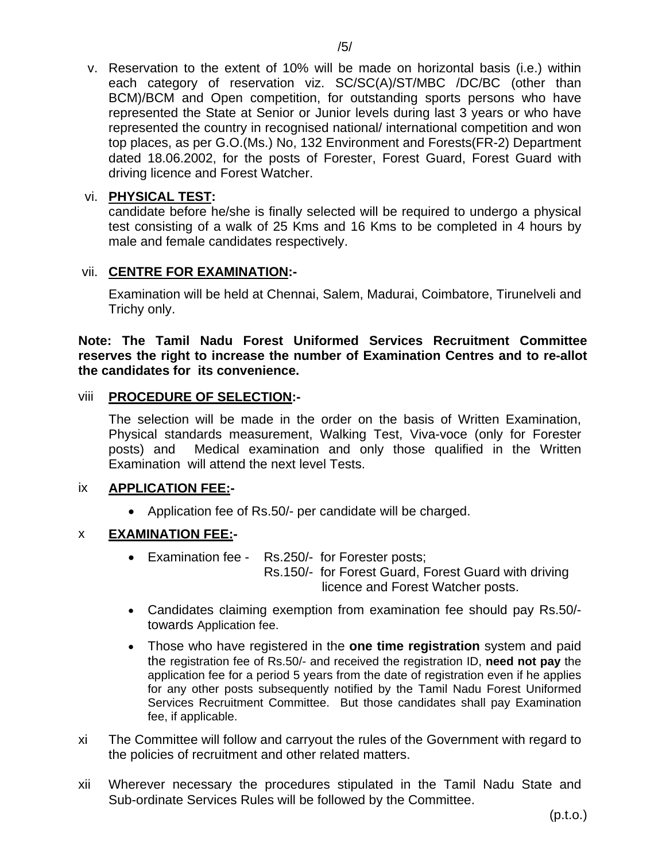v. Reservation to the extent of 10% will be made on horizontal basis (i.e.) within each category of reservation viz. SC/SC(A)/ST/MBC /DC/BC (other than BCM)/BCM and Open competition, for outstanding sports persons who have represented the State at Senior or Junior levels during last 3 years or who have represented the country in recognised national/ international competition and won top places, as per G.O.(Ms.) No, 132 Environment and Forests(FR-2) Department dated 18.06.2002, for the posts of Forester, Forest Guard, Forest Guard with driving licence and Forest Watcher.

## vi. **PHYSICAL TEST:**

candidate before he/she is finally selected will be required to undergo a physical test consisting of a walk of 25 Kms and 16 Kms to be completed in 4 hours by male and female candidates respectively.

## vii. **CENTRE FOR EXAMINATION:-**

Examination will be held at Chennai, Salem, Madurai, Coimbatore, Tirunelveli and Trichy only.

**Note: The Tamil Nadu Forest Uniformed Services Recruitment Committee reserves the right to increase the number of Examination Centres and to re-allot the candidates for its convenience.** 

#### viii **PROCEDURE OF SELECTION:-**

The selection will be made in the order on the basis of Written Examination, Physical standards measurement, Walking Test, Viva-voce (only for Forester posts) and Medical examination and only those qualified in the Written Examination will attend the next level Tests.

## ix **APPLICATION FEE:-**

• Application fee of Rs.50/- per candidate will be charged.

## x **EXAMINATION FEE:-**

- Examination fee Rs.250/- for Forester posts; Rs.150/- for Forest Guard, Forest Guard with driving licence and Forest Watcher posts.
- Candidates claiming exemption from examination fee should pay Rs.50/ towards Application fee.
- Those who have registered in the **one time registration** system and paid the registration fee of Rs.50/- and received the registration ID, **need not pay** the application fee for a period 5 years from the date of registration even if he applies for any other posts subsequently notified by the Tamil Nadu Forest Uniformed Services Recruitment Committee. But those candidates shall pay Examination fee, if applicable.
- xi The Committee will follow and carryout the rules of the Government with regard to the policies of recruitment and other related matters.
- xii Wherever necessary the procedures stipulated in the Tamil Nadu State and Sub-ordinate Services Rules will be followed by the Committee.